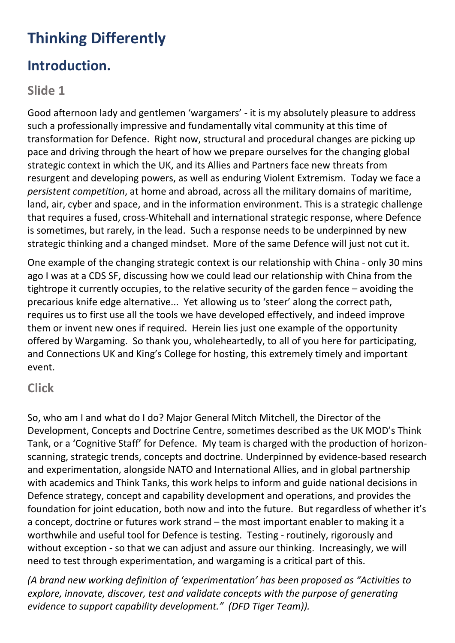# **Thinking Differently**

### **Introduction.**

#### **Slide 1**

Good afternoon lady and gentlemen 'wargamers' - it is my absolutely pleasure to address such a professionally impressive and fundamentally vital community at this time of transformation for Defence. Right now, structural and procedural changes are picking up pace and driving through the heart of how we prepare ourselves for the changing global strategic context in which the UK, and its Allies and Partners face new threats from resurgent and developing powers, as well as enduring Violent Extremism. Today we face a *persistent competition*, at home and abroad, across all the military domains of maritime, land, air, cyber and space, and in the information environment. This is a strategic challenge that requires a fused, cross-Whitehall and international strategic response, where Defence is sometimes, but rarely, in the lead. Such a response needs to be underpinned by new strategic thinking and a changed mindset. More of the same Defence will just not cut it.

One example of the changing strategic context is our relationship with China - only 30 mins ago I was at a CDS SF, discussing how we could lead our relationship with China from the tightrope it currently occupies, to the relative security of the garden fence – avoiding the precarious knife edge alternative... Yet allowing us to 'steer' along the correct path, requires us to first use all the tools we have developed effectively, and indeed improve them or invent new ones if required. Herein lies just one example of the opportunity offered by Wargaming. So thank you, wholeheartedly, to all of you here for participating, and Connections UK and King's College for hosting, this extremely timely and important event.

#### **Click**

So, who am I and what do I do? Major General Mitch Mitchell, the Director of the Development, Concepts and Doctrine Centre, sometimes described as the UK MOD's Think Tank, or a 'Cognitive Staff' for Defence. My team is charged with the production of horizonscanning, strategic trends, concepts and doctrine. Underpinned by evidence-based research and experimentation, alongside NATO and International Allies, and in global partnership with academics and Think Tanks, this work helps to inform and guide national decisions in Defence strategy, concept and capability development and operations, and provides the foundation for joint education, both now and into the future. But regardless of whether it's a concept, doctrine or futures work strand – the most important enabler to making it a worthwhile and useful tool for Defence is testing. Testing - routinely, rigorously and without exception - so that we can adjust and assure our thinking. Increasingly, we will need to test through experimentation, and wargaming is a critical part of this.

*(A brand new working definition of 'experimentation' has been proposed as "Activities to explore, innovate, discover, test and validate concepts with the purpose of generating evidence to support capability development." (DFD Tiger Team)).*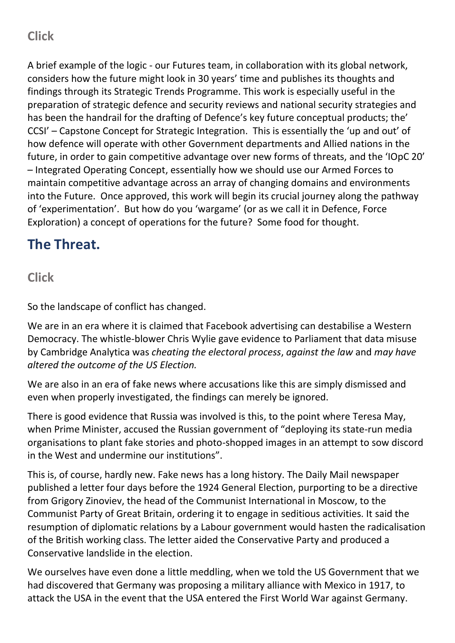### **Click**

A brief example of the logic - our Futures team, in collaboration with its global network, considers how the future might look in 30 years' time and publishes its thoughts and findings through its Strategic Trends Programme. This work is especially useful in the preparation of strategic defence and security reviews and national security strategies and has been the handrail for the drafting of Defence's key future conceptual products; the' CCSI' – Capstone Concept for Strategic Integration. This is essentially the 'up and out' of how defence will operate with other Government departments and Allied nations in the future, in order to gain competitive advantage over new forms of threats, and the 'IOpC 20' – Integrated Operating Concept, essentially how we should use our Armed Forces to maintain competitive advantage across an array of changing domains and environments into the Future. Once approved, this work will begin its crucial journey along the pathway of 'experimentation'. But how do you 'wargame' (or as we call it in Defence, Force Exploration) a concept of operations for the future? Some food for thought.

### **The Threat.**

#### **Click**

So the landscape of conflict has changed.

We are in an era where it is claimed that Facebook advertising can destabilise a Western Democracy. The whistle-blower Chris Wylie gave evidence to Parliament that data misuse by Cambridge Analytica was *cheating the electoral process*, *against the law* and *may have altered the outcome of the US Election.*

We are also in an era of fake news where accusations like this are simply dismissed and even when properly investigated, the findings can merely be ignored.

There is good evidence that Russia was involved is this, to the point where Teresa May, when Prime Minister, accused the Russian government of "deploying its state-run media organisations to plant fake stories and photo-shopped images in an attempt to sow discord in the West and undermine our institutions".

This is, of course, hardly new. Fake news has a long history. The Daily Mail newspaper published a letter four days before the 1924 General Election, purporting to be a directive from Grigory Zinoviev, the head of the Communist International in Moscow, to the Communist Party of Great Britain, ordering it to engage in seditious activities. It said the resumption of diplomatic relations by a Labour government would hasten the radicalisation of the British working class. The letter aided the Conservative Party and produced a Conservative landslide in the election.

We ourselves have even done a little meddling, when we told the US Government that we had discovered that Germany was proposing a military alliance with Mexico in 1917, to attack the USA in the event that the USA entered the First World War against Germany.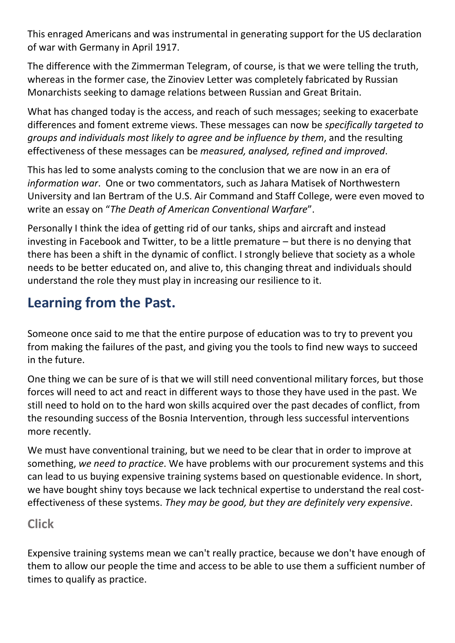This enraged Americans and was instrumental in generating support for the US declaration of war with Germany in April 1917.

The difference with the Zimmerman Telegram, of course, is that we were telling the truth, whereas in the former case, the Zinoviev Letter was completely fabricated by Russian Monarchists seeking to damage relations between Russian and Great Britain.

What has changed today is the access, and reach of such messages; seeking to exacerbate differences and foment extreme views. These messages can now be *specifically targeted to groups and individuals most likely to agree and be influence by them*, and the resulting effectiveness of these messages can be *measured, analysed, refined and improved*.

This has led to some analysts coming to the conclusion that we are now in an era of *information war*. One or two commentators, such as Jahara Matisek of Northwestern University and Ian Bertram of the U.S. Air Command and Staff College, were even moved to write an essay on "*The Death of American Conventional Warfare*".

Personally I think the idea of getting rid of our tanks, ships and aircraft and instead investing in Facebook and Twitter, to be a little premature – but there is no denying that there has been a shift in the dynamic of conflict. I strongly believe that society as a whole needs to be better educated on, and alive to, this changing threat and individuals should understand the role they must play in increasing our resilience to it.

### **Learning from the Past.**

Someone once said to me that the entire purpose of education was to try to prevent you from making the failures of the past, and giving you the tools to find new ways to succeed in the future.

One thing we can be sure of is that we will still need conventional military forces, but those forces will need to act and react in different ways to those they have used in the past. We still need to hold on to the hard won skills acquired over the past decades of conflict, from the resounding success of the Bosnia Intervention, through less successful interventions more recently.

We must have conventional training, but we need to be clear that in order to improve at something, *we need to practice*. We have problems with our procurement systems and this can lead to us buying expensive training systems based on questionable evidence. In short, we have bought shiny toys because we lack technical expertise to understand the real costeffectiveness of these systems. *They may be good, but they are definitely very expensive*.

#### **Click**

Expensive training systems mean we can't really practice, because we don't have enough of them to allow our people the time and access to be able to use them a sufficient number of times to qualify as practice.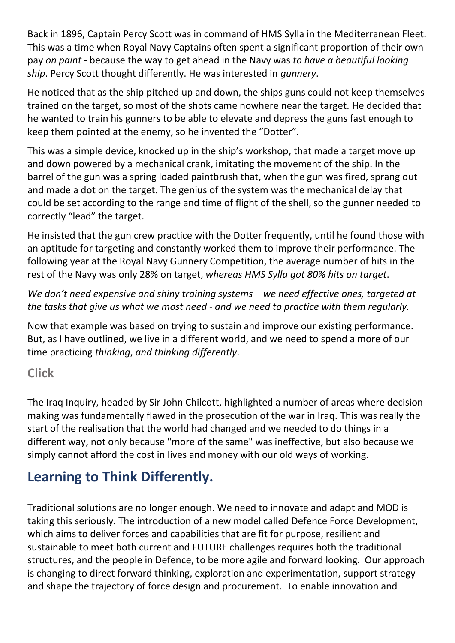Back in 1896, Captain Percy Scott was in command of HMS Sylla in the Mediterranean Fleet. This was a time when Royal Navy Captains often spent a significant proportion of their own pay *on paint* - because the way to get ahead in the Navy was *to have a beautiful looking ship*. Percy Scott thought differently. He was interested in *gunnery*.

He noticed that as the ship pitched up and down, the ships guns could not keep themselves trained on the target, so most of the shots came nowhere near the target. He decided that he wanted to train his gunners to be able to elevate and depress the guns fast enough to keep them pointed at the enemy, so he invented the "Dotter".

This was a simple device, knocked up in the ship's workshop, that made a target move up and down powered by a mechanical crank, imitating the movement of the ship. In the barrel of the gun was a spring loaded paintbrush that, when the gun was fired, sprang out and made a dot on the target. The genius of the system was the mechanical delay that could be set according to the range and time of flight of the shell, so the gunner needed to correctly "lead" the target.

He insisted that the gun crew practice with the Dotter frequently, until he found those with an aptitude for targeting and constantly worked them to improve their performance. The following year at the Royal Navy Gunnery Competition, the average number of hits in the rest of the Navy was only 28% on target, *whereas HMS Sylla got 80% hits on target*.

*We don't need expensive and shiny training systems – we need effective ones, targeted at the tasks that give us what we most need - and we need to practice with them regularly.*

Now that example was based on trying to sustain and improve our existing performance. But, as I have outlined, we live in a different world, and we need to spend a more of our time practicing *thinking*, *and thinking differently*.

#### **Click**

The Iraq Inquiry, headed by Sir John Chilcott, highlighted a number of areas where decision making was fundamentally flawed in the prosecution of the war in Iraq. This was really the start of the realisation that the world had changed and we needed to do things in a different way, not only because "more of the same" was ineffective, but also because we simply cannot afford the cost in lives and money with our old ways of working.

## **Learning to Think Differently.**

Traditional solutions are no longer enough. We need to innovate and adapt and MOD is taking this seriously. The introduction of a new model called Defence Force Development, which aims to deliver forces and capabilities that are fit for purpose, resilient and sustainable to meet both current and FUTURE challenges requires both the traditional structures, and the people in Defence, to be more agile and forward looking. Our approach is changing to direct forward thinking, exploration and experimentation, support strategy and shape the trajectory of force design and procurement. To enable innovation and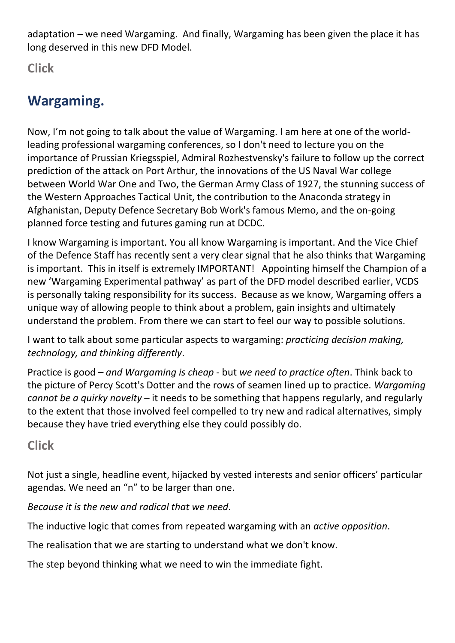adaptation – we need Wargaming. And finally, Wargaming has been given the place it has long deserved in this new DFD Model.

**Click**

## **Wargaming.**

Now, I'm not going to talk about the value of Wargaming. I am here at one of the worldleading professional wargaming conferences, so I don't need to lecture you on the importance of Prussian Kriegsspiel, Admiral Rozhestvensky's failure to follow up the correct prediction of the attack on Port Arthur, the innovations of the US Naval War college between World War One and Two, the German Army Class of 1927, the stunning success of the Western Approaches Tactical Unit, the contribution to the Anaconda strategy in Afghanistan, Deputy Defence Secretary Bob Work's famous Memo, and the on-going planned force testing and futures gaming run at DCDC.

I know Wargaming is important. You all know Wargaming is important. And the Vice Chief of the Defence Staff has recently sent a very clear signal that he also thinks that Wargaming is important. This in itself is extremely IMPORTANT! Appointing himself the Champion of a new 'Wargaming Experimental pathway' as part of the DFD model described earlier, VCDS is personally taking responsibility for its success. Because as we know, Wargaming offers a unique way of allowing people to think about a problem, gain insights and ultimately understand the problem. From there we can start to feel our way to possible solutions.

I want to talk about some particular aspects to wargaming: *practicing decision making, technology, and thinking differently*.

Practice is good – *and Wargaming is cheap* - but *we need to practice often*. Think back to the picture of Percy Scott's Dotter and the rows of seamen lined up to practice. *Wargaming cannot be a quirky novelty* – it needs to be something that happens regularly, and regularly to the extent that those involved feel compelled to try new and radical alternatives, simply because they have tried everything else they could possibly do.

#### **Click**

Not just a single, headline event, hijacked by vested interests and senior officers' particular agendas. We need an "n" to be larger than one.

*Because it is the new and radical that we need*.

The inductive logic that comes from repeated wargaming with an *active opposition*.

The realisation that we are starting to understand what we don't know.

The step beyond thinking what we need to win the immediate fight.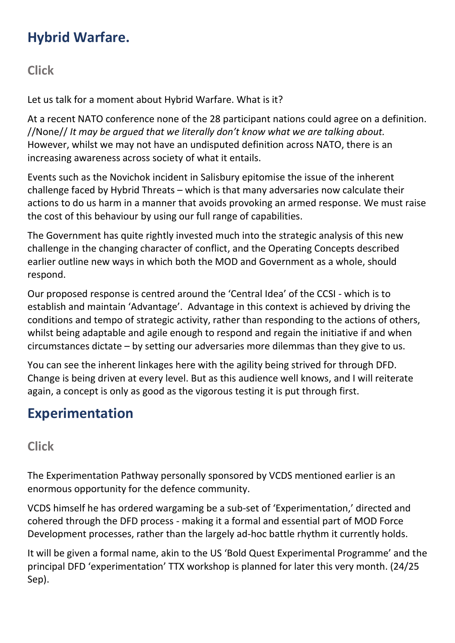## **Hybrid Warfare.**

**Click**

Let us talk for a moment about Hybrid Warfare. What is it?

At a recent NATO conference none of the 28 participant nations could agree on a definition. //None// *It may be argued that we literally don't know what we are talking about.* However, whilst we may not have an undisputed definition across NATO, there is an increasing awareness across society of what it entails.

Events such as the Novichok incident in Salisbury epitomise the issue of the inherent challenge faced by Hybrid Threats – which is that many adversaries now calculate their actions to do us harm in a manner that avoids provoking an armed response. We must raise the cost of this behaviour by using our full range of capabilities.

The Government has quite rightly invested much into the strategic analysis of this new challenge in the changing character of conflict, and the Operating Concepts described earlier outline new ways in which both the MOD and Government as a whole, should respond.

Our proposed response is centred around the 'Central Idea' of the CCSI - which is to establish and maintain 'Advantage'. Advantage in this context is achieved by driving the conditions and tempo of strategic activity, rather than responding to the actions of others, whilst being adaptable and agile enough to respond and regain the initiative if and when circumstances dictate – by setting our adversaries more dilemmas than they give to us.

You can see the inherent linkages here with the agility being strived for through DFD. Change is being driven at every level. But as this audience well knows, and I will reiterate again, a concept is only as good as the vigorous testing it is put through first.

### **Experimentation**

### **Click**

The Experimentation Pathway personally sponsored by VCDS mentioned earlier is an enormous opportunity for the defence community.

VCDS himself he has ordered wargaming be a sub-set of 'Experimentation,' directed and cohered through the DFD process - making it a formal and essential part of MOD Force Development processes, rather than the largely ad-hoc battle rhythm it currently holds.

It will be given a formal name, akin to the US 'Bold Quest Experimental Programme' and the principal DFD 'experimentation' TTX workshop is planned for later this very month. (24/25 Sep).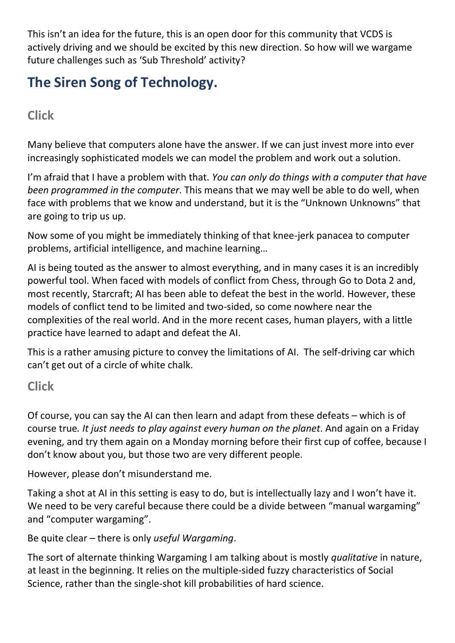This isn't an idea for the future, this is an open door for this community that VCDS is actively driving and we should be excited by this new direction. So how will we wargame future challenges such as 'Sub Threshold' activity?

## **The Siren Song of Technology.**

### **Click**

Many believe that computers alone have the answer. If we can just invest more into ever increasingly sophisticated models we can model the problem and work out a solution.

I'm afraid that I have a problem with that. *You can only do things with a computer that have been programmed in the computer*. This means that we may well be able to do well, when face with problems that we know and understand, but it is the "Unknown Unknowns" that are going to trip us up.

Now some of you might be immediately thinking of that knee-jerk panacea to computer problems, artificial intelligence, and machine learning…

AI is being touted as the answer to almost everything, and in many cases it is an incredibly powerful tool. When faced with models of conflict from Chess, through Go to Dota 2 and, most recently, Starcraft; AI has been able to defeat the best in the world. However, these models of conflict tend to be limited and two-sided, so come nowhere near the complexities of the real world. And in the more recent cases, human players, with a little practice have learned to adapt and defeat the AI.

This is a rather amusing picture to convey the limitations of AI. The self-driving car which can't get out of a circle of white chalk.

#### **Click**

Of course, you can say the AI can then learn and adapt from these defeats – which is of course true*. It just needs to play against every human on the planet*. And again on a Friday evening, and try them again on a Monday morning before their first cup of coffee, because I don't know about you, but those two are very different people.

However, please don't misunderstand me.

Taking a shot at AI in this setting is easy to do, but is intellectually lazy and I won't have it. We need to be very careful because there could be a divide between "manual wargaming" and "computer wargaming".

Be quite clear – there is only *useful Wargaming*.

The sort of alternate thinking Wargaming I am talking about is mostly *qualitative* in nature, at least in the beginning. It relies on the multiple-sided fuzzy characteristics of Social Science, rather than the single-shot kill probabilities of hard science.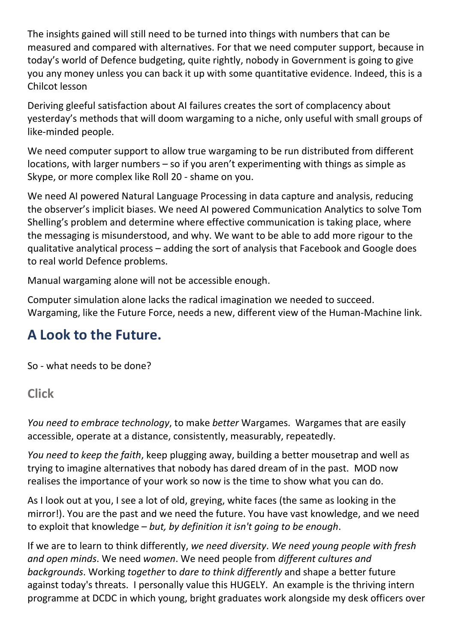The insights gained will still need to be turned into things with numbers that can be measured and compared with alternatives. For that we need computer support, because in today's world of Defence budgeting, quite rightly, nobody in Government is going to give you any money unless you can back it up with some quantitative evidence. Indeed, this is a Chilcot lesson

Deriving gleeful satisfaction about AI failures creates the sort of complacency about yesterday's methods that will doom wargaming to a niche, only useful with small groups of like-minded people.

We need computer support to allow true wargaming to be run distributed from different locations, with larger numbers – so if you aren't experimenting with things as simple as Skype, or more complex like Roll 20 - shame on you.

We need AI powered Natural Language Processing in data capture and analysis, reducing the observer's implicit biases. We need AI powered Communication Analytics to solve Tom Shelling's problem and determine where effective communication is taking place, where the messaging is misunderstood, and why. We want to be able to add more rigour to the qualitative analytical process – adding the sort of analysis that Facebook and Google does to real world Defence problems.

Manual wargaming alone will not be accessible enough.

Computer simulation alone lacks the radical imagination we needed to succeed. Wargaming, like the Future Force, needs a new, different view of the Human-Machine link.

### **A Look to the Future.**

So - what needs to be done?

#### **Click**

*You need to embrace technology*, to make *better* Wargames. Wargames that are easily accessible, operate at a distance, consistently, measurably, repeatedly.

*You need to keep the faith*, keep plugging away, building a better mousetrap and well as trying to imagine alternatives that nobody has dared dream of in the past. MOD now realises the importance of your work so now is the time to show what you can do.

As I look out at you, I see a lot of old, greying, white faces (the same as looking in the mirror!). You are the past and we need the future. You have vast knowledge, and we need to exploit that knowledge – *but, by definition it isn't going to be enough*.

If we are to learn to think differently, *we need diversity*. *We need young people with fresh and open minds*. We need *women*. We need people from *different cultures and backgrounds*. Working *together* to *dare to think differently* and shape a better future against today's threats. I personally value this HUGELY. An example is the thriving intern programme at DCDC in which young, bright graduates work alongside my desk officers over